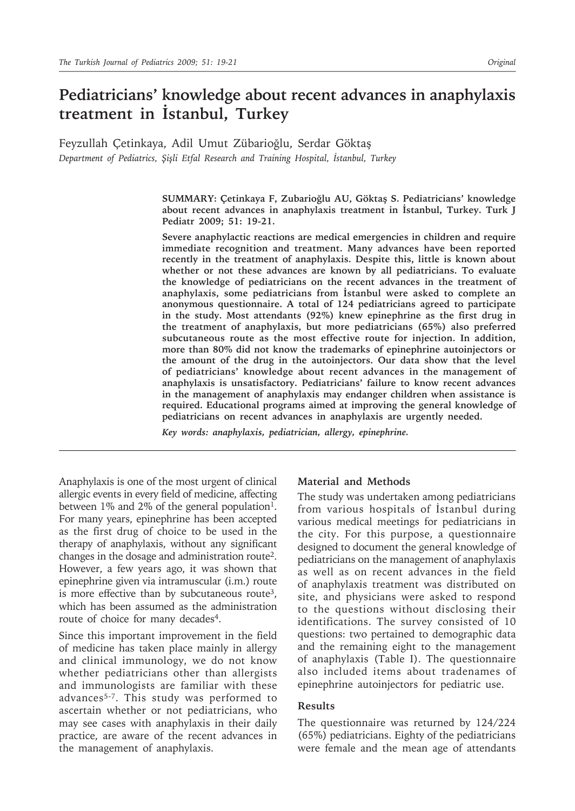# **Pediatricians' knowledge about recent advances in anaphylaxis treatment in İstanbul, Turkey**

Feyzullah Çetinkaya, Adil Umut Zübarioğlu, Serdar Göktaş *Department of Pediatrics, Şişli Etfal Research and Training Hospital, İstanbul, Turkey*

> **SUMMARY: Çetinkaya F, Zubarioğlu AU, Göktaş S. Pediatricians' knowledge about recent advances in anaphylaxis treatment in İstanbul, Turkey. Turk J Pediatr 2009; 51: 19-21.**

> **Severe anaphylactic reactions are medical emergencies in children and require immediate recognition and treatment. Many advances have been reported recently in the treatment of anaphylaxis. Despite this, little is known about whether or not these advances are known by all pediatricians. To evaluate the knowledge of pediatricians on the recent advances in the treatment of anaphylaxis, some pediatricians from İstanbul were asked to complete an anonymous questionnaire. A total of 124 pediatricians agreed to participate in the study. Most attendants (92%) knew epinephrine as the first drug in the treatment of anaphylaxis, but more pediatricians (65%) also preferred subcutaneous route as the most effective route for injection. In addition, more than 80% did not know the trademarks of epinephrine autoinjectors or the amount of the drug in the autoinjectors. Our data show that the level of pediatricians' knowledge about recent advances in the management of anaphylaxis is unsatisfactory. Pediatricians' failure to know recent advances in the management of anaphylaxis may endanger children when assistance is required. Educational programs aimed at improving the general knowledge of pediatricians on recent advances in anaphylaxis are urgently needed.**

*Key words: anaphylaxis, pediatrician, allergy, epinephrine.*

Anaphylaxis is one of the most urgent of clinical allergic events in every field of medicine, affecting between 1% and 2% of the general population<sup>1</sup>. For many years, epinephrine has been accepted as the first drug of choice to be used in the therapy of anaphylaxis, without any significant changes in the dosage and administration route2. However, a few years ago, it was shown that epinephrine given via intramuscular (i.m.) route is more effective than by subcutaneous route3, which has been assumed as the administration route of choice for many decades<sup>4</sup>.

Since this important improvement in the field of medicine has taken place mainly in allergy and clinical immunology, we do not know whether pediatricians other than allergists and immunologists are familiar with these advances<sup>5-7</sup>. This study was performed to ascertain whether or not pediatricians, who may see cases with anaphylaxis in their daily practice, are aware of the recent advances in the management of anaphylaxis.

# **Material and Methods**

The study was undertaken among pediatricians from various hospitals of İstanbul during various medical meetings for pediatricians in the city. For this purpose, a questionnaire designed to document the general knowledge of pediatricians on the management of anaphylaxis as well as on recent advances in the field of anaphylaxis treatment was distributed on site, and physicians were asked to respond to the questions without disclosing their identifications. The survey consisted of 10 questions: two pertained to demographic data and the remaining eight to the management of anaphylaxis (Table I). The questionnaire also included items about tradenames of epinephrine autoinjectors for pediatric use.

### **Results**

The questionnaire was returned by 124/224 (65%) pediatricians. Eighty of the pediatricians were female and the mean age of attendants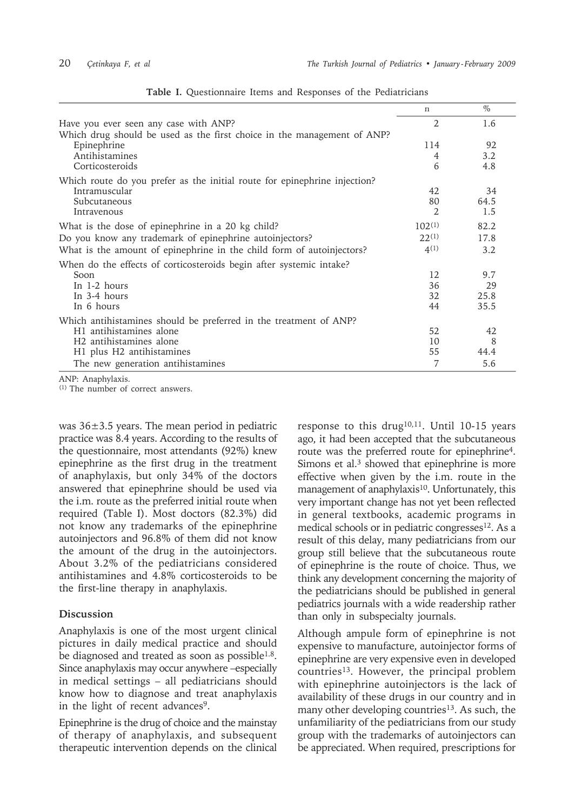|                                                                           | n              | $\%$ |
|---------------------------------------------------------------------------|----------------|------|
| Have you ever seen any case with ANP?                                     | 2              | 1.6  |
| Which drug should be used as the first choice in the management of ANP?   |                |      |
| Epinephrine                                                               | 114            | 92   |
| Antihistamines                                                            | $\overline{4}$ | 3.2  |
| Corticosteroids                                                           | 6              | 4.8  |
| Which route do you prefer as the initial route for epinephrine injection? |                |      |
| Intramuscular                                                             | 42             | 34   |
| Subcutaneous                                                              | 80             | 64.5 |
| Intravenous                                                               | 2              | 1.5  |
| What is the dose of epinephrine in a 20 kg child?                         | $102^{(1)}$    | 82.2 |
| Do you know any trademark of epinephrine autoinjectors?                   | $22^{(1)}$     | 17.8 |
| What is the amount of epinephrine in the child form of autoinjectors?     | 4(1)           | 3.2  |
| When do the effects of corticosteroids begin after systemic intake?       |                |      |
| Soon                                                                      | 12             | 9.7  |
| In 1-2 hours                                                              | 36             | 29   |
| In $3-4$ hours                                                            | 32             | 25.8 |
| In 6 hours                                                                | 44             | 35.5 |
| Which antihistamines should be preferred in the treatment of ANP?         |                |      |
| H <sub>1</sub> antihistamines alone                                       | 52             | 42   |
| H <sub>2</sub> antihistamines alone                                       | 10             | 8    |
| H1 plus H2 antihistamines                                                 | 55             | 44.4 |
| The new generation antihistamines                                         | 7              | 5.6  |

**Table I.** Questionnaire Items and Responses of the Pediatricians

ANP: Anaphylaxis.

(1) The number of correct answers.

was 36±3.5 years. The mean period in pediatric practice was 8.4 years. According to the results of the questionnaire, most attendants (92%) knew epinephrine as the first drug in the treatment of anaphylaxis, but only 34% of the doctors answered that epinephrine should be used via the i.m. route as the preferred initial route when required (Table I). Most doctors (82.3%) did not know any trademarks of the epinephrine autoinjectors and 96.8% of them did not know the amount of the drug in the autoinjectors. About 3.2% of the pediatricians considered antihistamines and 4.8% corticosteroids to be the first-line therapy in anaphylaxis.

# **Discussion**

Anaphylaxis is one of the most urgent clinical pictures in daily medical practice and should be diagnosed and treated as soon as possible<sup>1.8</sup>. Since anaphylaxis may occur anywhere –especially in medical settings – all pediatricians should know how to diagnose and treat anaphylaxis in the light of recent advances<sup>9</sup>.

Epinephrine is the drug of choice and the mainstay of therapy of anaphylaxis, and subsequent therapeutic intervention depends on the clinical

response to this drug<sup>10,11</sup>. Until 10-15 years ago, it had been accepted that the subcutaneous route was the preferred route for epinephrine4. Simons et al. $3$  showed that epinephrine is more effective when given by the i.m. route in the management of anaphylaxis $10$ . Unfortunately, this very important change has not yet been reflected in general textbooks, academic programs in medical schools or in pediatric congresses<sup>12</sup>. As a result of this delay, many pediatricians from our group still believe that the subcutaneous route of epinephrine is the route of choice. Thus, we think any development concerning the majority of the pediatricians should be published in general pediatrics journals with a wide readership rather than only in subspecialty journals.

Although ampule form of epinephrine is not expensive to manufacture, autoinjector forms of epinephrine are very expensive even in developed countries<sup>13</sup>. However, the principal problem with epinephrine autoinjectors is the lack of availability of these drugs in our country and in many other developing countries<sup>13</sup>. As such, the unfamiliarity of the pediatricians from our study group with the trademarks of autoinjectors can be appreciated. When required, prescriptions for